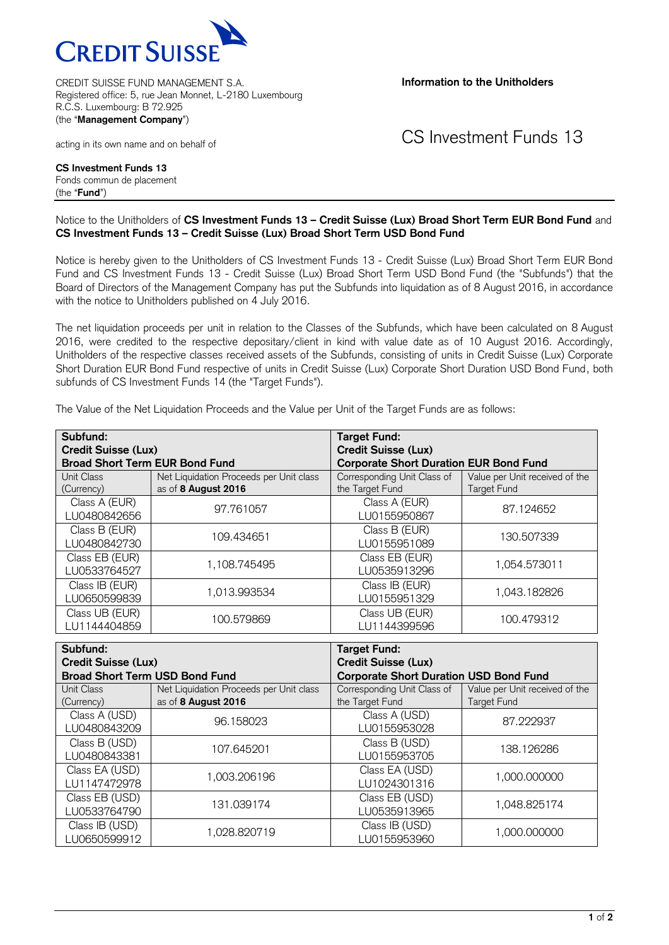

CREDIT SUISSE FUND MANAGEMENT S.A. Registered office: 5, rue Jean Monnet, L-2180 Luxembourg R.C.S. Luxembourg: B 72.925 (the "**Management Company**")

**Information to the Unitholders**

acting in its own name and on behalf of

CS Investment Funds 13

**CS Investment Funds 13** Fonds commun de placement (the "**Fund**")

## Notice to the Unitholders of **CS Investment Funds 13 – Credit Suisse (Lux) Broad Short Term EUR Bond Fund** and **CS Investment Funds 13 – Credit Suisse (Lux) Broad Short Term USD Bond Fund**

Notice is hereby given to the Unitholders of CS Investment Funds 13 - Credit Suisse (Lux) Broad Short Term EUR Bond Fund and CS Investment Funds 13 - Credit Suisse (Lux) Broad Short Term USD Bond Fund (the "Subfunds") that the Board of Directors of the Management Company has put the Subfunds into liquidation as of 8 August 2016, in accordance with the notice to Unitholders published on 4 July 2016.

The net liquidation proceeds per unit in relation to the Classes of the Subfunds, which have been calculated on 8 August 2016, were credited to the respective depositary/client in kind with value date as of 10 August 2016. Accordingly, Unitholders of the respective classes received assets of the Subfunds, consisting of units in Credit Suisse (Lux) Corporate Short Duration EUR Bond Fund respective of units in Credit Suisse (Lux) Corporate Short Duration USD Bond Fund, both subfunds of CS Investment Funds 14 (the "Target Funds").

| Subfund:<br><b>Credit Suisse (Lux)</b> |                                                                | <b>Target Fund:</b><br><b>Credit Suisse (Lux)</b> |                                               |
|----------------------------------------|----------------------------------------------------------------|---------------------------------------------------|-----------------------------------------------|
| <b>Broad Short Term EUR Bond Fund</b>  |                                                                | <b>Corporate Short Duration EUR Bond Fund</b>     |                                               |
| Unit Class<br>(Currency)               | Net Liquidation Proceeds per Unit class<br>as of 8 August 2016 | Corresponding Unit Class of<br>the Target Fund    | Value per Unit received of the<br>Target Fund |
| Class A (EUR)<br>LU0480842656          | 97.761057                                                      | Class A (EUR)<br>LU0155950867                     | 87.124652                                     |
| Class B (EUR)<br>LU0480842730          | 109.434651                                                     | Class B (EUR)<br>LU0155951089                     | 130.507339                                    |
| Class EB (EUR)<br>LU0533764527         | 1,108.745495                                                   | Class EB (EUR)<br>LU0535913296                    | 1,054.573011                                  |
| Class IB (EUR)<br>LU0650599839         | 1,013.993534                                                   | Class IB (EUR)<br>LU0155951329                    | 1,043.182826                                  |
| Class UB (EUR)<br>LU1144404859         | 100.579869                                                     | Class UB (EUR)<br>LU1144399596                    | 100.479312                                    |

The Value of the Net Liquidation Proceeds and the Value per Unit of the Target Funds are as follows:

| Subfund:                              |                                                                | <b>Target Fund:</b>                            |                                               |
|---------------------------------------|----------------------------------------------------------------|------------------------------------------------|-----------------------------------------------|
| <b>Credit Suisse (Lux)</b>            |                                                                | <b>Credit Suisse (Lux)</b>                     |                                               |
| <b>Broad Short Term USD Bond Fund</b> |                                                                | <b>Corporate Short Duration USD Bond Fund</b>  |                                               |
| Unit Class<br>(Currency)              | Net Liquidation Proceeds per Unit class<br>as of 8 August 2016 | Corresponding Unit Class of<br>the Target Fund | Value per Unit received of the<br>Target Fund |
| Class A (USD)<br>LU0480843209         | 96.158023                                                      | Class A (USD)<br>LU0155953028                  | 87.222937                                     |
| Class B (USD)<br>LU0480843381         | 107.645201                                                     | Class B (USD)<br>LU0155953705                  | 138.126286                                    |
| Class EA (USD)<br>LU1147472978        | 1,003.206196                                                   | Class EA (USD)<br>LU1024301316                 | 1,000.000000                                  |
| Class EB (USD)<br>LU0533764790        | 131.039174                                                     | Class EB (USD)<br>LU0535913965                 | 1,048.825174                                  |
| Class IB (USD)<br>LU0650599912        | 1,028.820719                                                   | Class IB (USD)<br>LU0155953960                 | 1.000.000000                                  |